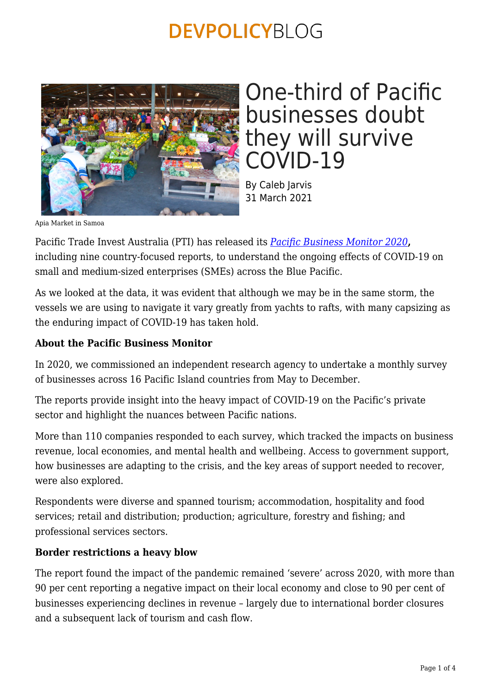

## One-third of Pacific businesses doubt they will survive COVID-19

By Caleb Jarvis 31 March 2021

Apia Market in Samoa

Pacific Trade Invest Australia (PTI) has released its *[Pacific Business Monitor 2020](https://pacifictradeinvest.com/media/1721/pti-pacific-business-monitor-report-2020.pdf)***,** including nine country-focused reports, to understand the ongoing effects of COVID-19 on small and medium-sized enterprises (SMEs) across the Blue Pacific.

As we looked at the data, it was evident that although we may be in the same storm, the vessels we are using to navigate it vary greatly from yachts to rafts, with many capsizing as the enduring impact of COVID-19 has taken hold.

#### **About the Pacific Business Monitor**

In 2020, we commissioned an independent research agency to undertake a monthly survey of businesses across 16 Pacific Island countries from May to December.

The reports provide insight into the heavy impact of COVID-19 on the Pacific's private sector and highlight the nuances between Pacific nations.

More than 110 companies responded to each survey, which tracked the impacts on business revenue, local economies, and mental health and wellbeing. Access to government support, how businesses are adapting to the crisis, and the key areas of support needed to recover, were also explored.

Respondents were diverse and spanned tourism; accommodation, hospitality and food services; retail and distribution; production; agriculture, forestry and fishing; and professional services sectors.

#### **Border restrictions a heavy blow**

The report found the impact of the pandemic remained 'severe' across 2020, with more than 90 per cent reporting a negative impact on their local economy and close to 90 per cent of businesses experiencing declines in revenue – largely due to international border closures and a subsequent lack of tourism and cash flow.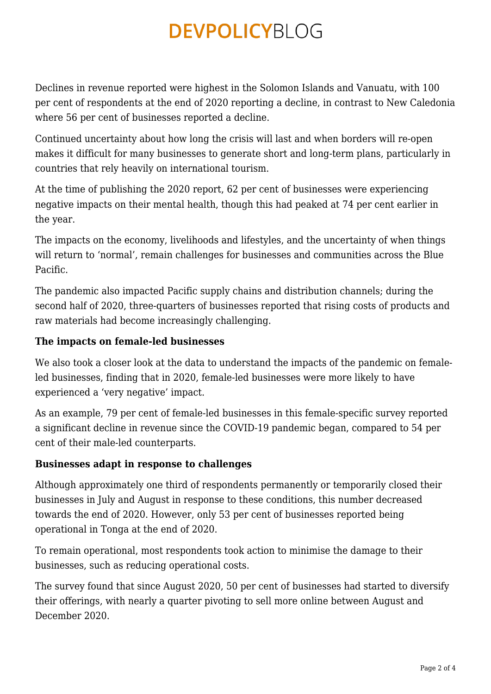Declines in revenue reported were highest in the Solomon Islands and Vanuatu, with 100 per cent of respondents at the end of 2020 reporting a decline, in contrast to New Caledonia where 56 per cent of businesses reported a decline.

Continued uncertainty about how long the crisis will last and when borders will re-open makes it difficult for many businesses to generate short and long-term plans, particularly in countries that rely heavily on international tourism.

At the time of publishing the 2020 report, 62 per cent of businesses were experiencing negative impacts on their mental health, though this had peaked at 74 per cent earlier in the year.

The impacts on the economy, livelihoods and lifestyles, and the uncertainty of when things will return to 'normal', remain challenges for businesses and communities across the Blue Pacific.

The pandemic also impacted Pacific supply chains and distribution channels; during the second half of 2020, three-quarters of businesses reported that rising costs of products and raw materials had become increasingly challenging.

### **The impacts on female-led businesses**

We also took a closer look at the data to understand the impacts of the pandemic on femaleled businesses, finding that in 2020, female-led businesses were more likely to have experienced a 'very negative' impact.

As an example, 79 per cent of female-led businesses in this female-specific survey reported a significant decline in revenue since the COVID-19 pandemic began, compared to 54 per cent of their male-led counterparts.

### **Businesses adapt in response to challenges**

Although approximately one third of respondents permanently or temporarily closed their businesses in July and August in response to these conditions, this number decreased towards the end of 2020. However, only 53 per cent of businesses reported being operational in Tonga at the end of 2020.

To remain operational, most respondents took action to minimise the damage to their businesses, such as reducing operational costs.

The survey found that since August 2020, 50 per cent of businesses had started to diversify their offerings, with nearly a quarter pivoting to sell more online between August and December 2020.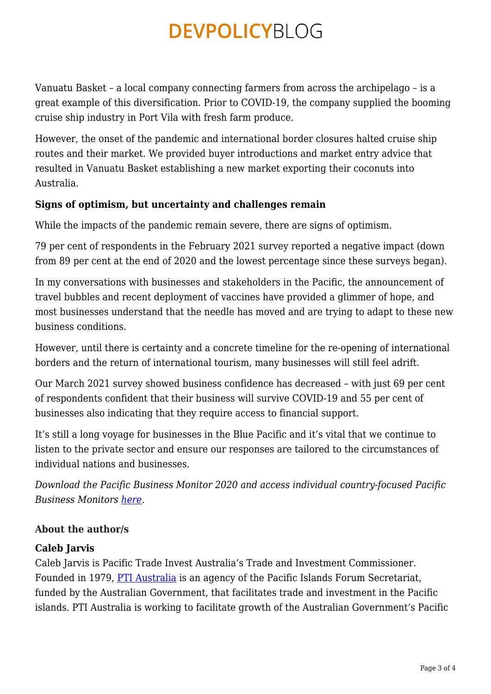Vanuatu Basket – a local company connecting farmers from across the archipelago – is a great example of this diversification. Prior to COVID-19, the company supplied the booming cruise ship industry in Port Vila with fresh farm produce.

However, the onset of the pandemic and international border closures halted cruise ship routes and their market. We provided buyer introductions and market entry advice that resulted in Vanuatu Basket establishing a new market exporting their coconuts into Australia.

### **Signs of optimism, but uncertainty and challenges remain**

While the impacts of the pandemic remain severe, there are signs of optimism.

79 per cent of respondents in the February 2021 survey reported a negative impact (down from 89 per cent at the end of 2020 and the lowest percentage since these surveys began).

In my conversations with businesses and stakeholders in the Pacific, the announcement of travel bubbles and recent deployment of vaccines have provided a glimmer of hope, and most businesses understand that the needle has moved and are trying to adapt to these new business conditions.

However, until there is certainty and a concrete timeline for the re-opening of international borders and the return of international tourism, many businesses will still feel adrift.

Our March 2021 survey showed business confidence has decreased – with just 69 per cent of respondents confident that their business will survive COVID-19 and 55 per cent of businesses also indicating that they require access to financial support.

It's still a long voyage for businesses in the Blue Pacific and it's vital that we continue to listen to the private sector and ensure our responses are tailored to the circumstances of individual nations and businesses.

*Download the Pacific Business Monitor 2020 and access individual country-focused Pacific Business Monitors [here](https://www.pacifictradeinvest.com/services/pti-pacific-business-monitor).*

### **About the author/s**

### **Caleb Jarvis**

Caleb Jarvis is Pacific Trade Invest Australia's Trade and Investment Commissioner. Founded in 1979, [PTI Australia](https://pacifictradeinvest.com/) is an agency of the Pacific Islands Forum Secretariat, funded by the Australian Government, that facilitates trade and investment in the Pacific islands. PTI Australia is working to facilitate growth of the Australian Government's Pacific